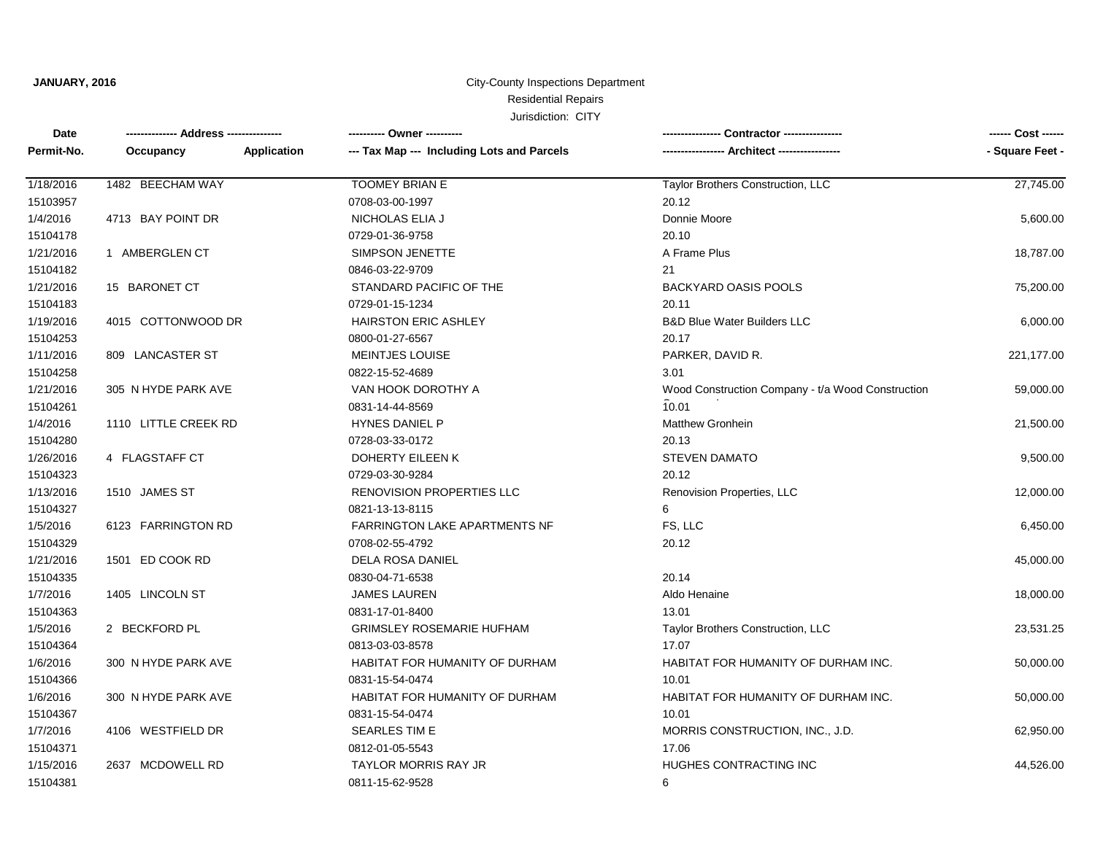### City-County Inspections Department Jurisdiction: CITY Residential Repairs

| Date       |                      |             | ---------- Owner ----------                | -- Contractor ----------------<br>--------------  |                 |
|------------|----------------------|-------------|--------------------------------------------|---------------------------------------------------|-----------------|
| Permit-No. | Occupancy            | Application | --- Tax Map --- Including Lots and Parcels |                                                   | - Square Feet - |
| 1/18/2016  | 1482 BEECHAM WAY     |             | <b>TOOMEY BRIAN E</b>                      | Taylor Brothers Construction, LLC                 | 27,745.00       |
| 15103957   |                      |             | 0708-03-00-1997                            | 20.12                                             |                 |
| 1/4/2016   | 4713 BAY POINT DR    |             | NICHOLAS ELIA J                            | Donnie Moore                                      | 5,600.00        |
| 15104178   |                      |             | 0729-01-36-9758                            | 20.10                                             |                 |
| 1/21/2016  | 1 AMBERGLEN CT       |             | SIMPSON JENETTE                            | A Frame Plus                                      | 18,787.00       |
| 15104182   |                      |             | 0846-03-22-9709                            | 21                                                |                 |
| 1/21/2016  | 15 BARONET CT        |             | STANDARD PACIFIC OF THE                    | <b>BACKYARD OASIS POOLS</b>                       | 75,200.00       |
| 15104183   |                      |             | 0729-01-15-1234                            | 20.11                                             |                 |
| 1/19/2016  | 4015 COTTONWOOD DR   |             | <b>HAIRSTON ERIC ASHLEY</b>                | <b>B&amp;D Blue Water Builders LLC</b>            | 6,000.00        |
| 15104253   |                      |             | 0800-01-27-6567                            | 20.17                                             |                 |
| 1/11/2016  | 809 LANCASTER ST     |             | <b>MEINTJES LOUISE</b>                     | PARKER, DAVID R.                                  | 221,177.00      |
| 15104258   |                      |             | 0822-15-52-4689                            | 3.01                                              |                 |
| 1/21/2016  | 305 N HYDE PARK AVE  |             | VAN HOOK DOROTHY A                         | Wood Construction Company - t/a Wood Construction | 59,000.00       |
| 15104261   |                      |             | 0831-14-44-8569                            | 10.01                                             |                 |
| 1/4/2016   | 1110 LITTLE CREEK RD |             | <b>HYNES DANIEL P</b>                      | <b>Matthew Gronhein</b>                           | 21,500.00       |
| 15104280   |                      |             | 0728-03-33-0172                            | 20.13                                             |                 |
| 1/26/2016  | 4 FLAGSTAFF CT       |             | DOHERTY EILEEN K                           | <b>STEVEN DAMATO</b>                              | 9,500.00        |
| 15104323   |                      |             | 0729-03-30-9284                            | 20.12                                             |                 |
| 1/13/2016  | 1510 JAMES ST        |             | RENOVISION PROPERTIES LLC                  | Renovision Properties, LLC                        | 12,000.00       |
| 15104327   |                      |             | 0821-13-13-8115                            | 6                                                 |                 |
| 1/5/2016   | 6123 FARRINGTON RD   |             | <b>FARRINGTON LAKE APARTMENTS NF</b>       | FS, LLC                                           | 6,450.00        |
| 15104329   |                      |             | 0708-02-55-4792                            | 20.12                                             |                 |
| 1/21/2016  | 1501 ED COOK RD      |             | DELA ROSA DANIEL                           |                                                   | 45,000.00       |
| 15104335   |                      |             | 0830-04-71-6538                            | 20.14                                             |                 |
| 1/7/2016   | 1405 LINCOLN ST      |             | <b>JAMES LAUREN</b>                        | Aldo Henaine                                      | 18,000.00       |
| 15104363   |                      |             | 0831-17-01-8400                            | 13.01                                             |                 |
| 1/5/2016   | 2 BECKFORD PL        |             | <b>GRIMSLEY ROSEMARIE HUFHAM</b>           | Taylor Brothers Construction, LLC                 | 23,531.25       |
| 15104364   |                      |             | 0813-03-03-8578                            | 17.07                                             |                 |
| 1/6/2016   | 300 N HYDE PARK AVE  |             | HABITAT FOR HUMANITY OF DURHAM             | HABITAT FOR HUMANITY OF DURHAM INC.               | 50,000.00       |
| 15104366   |                      |             | 0831-15-54-0474                            | 10.01                                             |                 |
| 1/6/2016   | 300 N HYDE PARK AVE  |             | HABITAT FOR HUMANITY OF DURHAM             | HABITAT FOR HUMANITY OF DURHAM INC.               | 50,000.00       |
| 15104367   |                      |             | 0831-15-54-0474                            | 10.01                                             |                 |
| 1/7/2016   | 4106 WESTFIELD DR    |             | <b>SEARLES TIM E</b>                       | MORRIS CONSTRUCTION, INC., J.D.                   | 62,950.00       |
| 15104371   |                      |             | 0812-01-05-5543                            | 17.06                                             |                 |
| 1/15/2016  | 2637 MCDOWELL RD     |             | <b>TAYLOR MORRIS RAY JR</b>                | HUGHES CONTRACTING INC                            | 44,526.00       |
| 15104381   |                      |             | 0811-15-62-9528                            | 6                                                 |                 |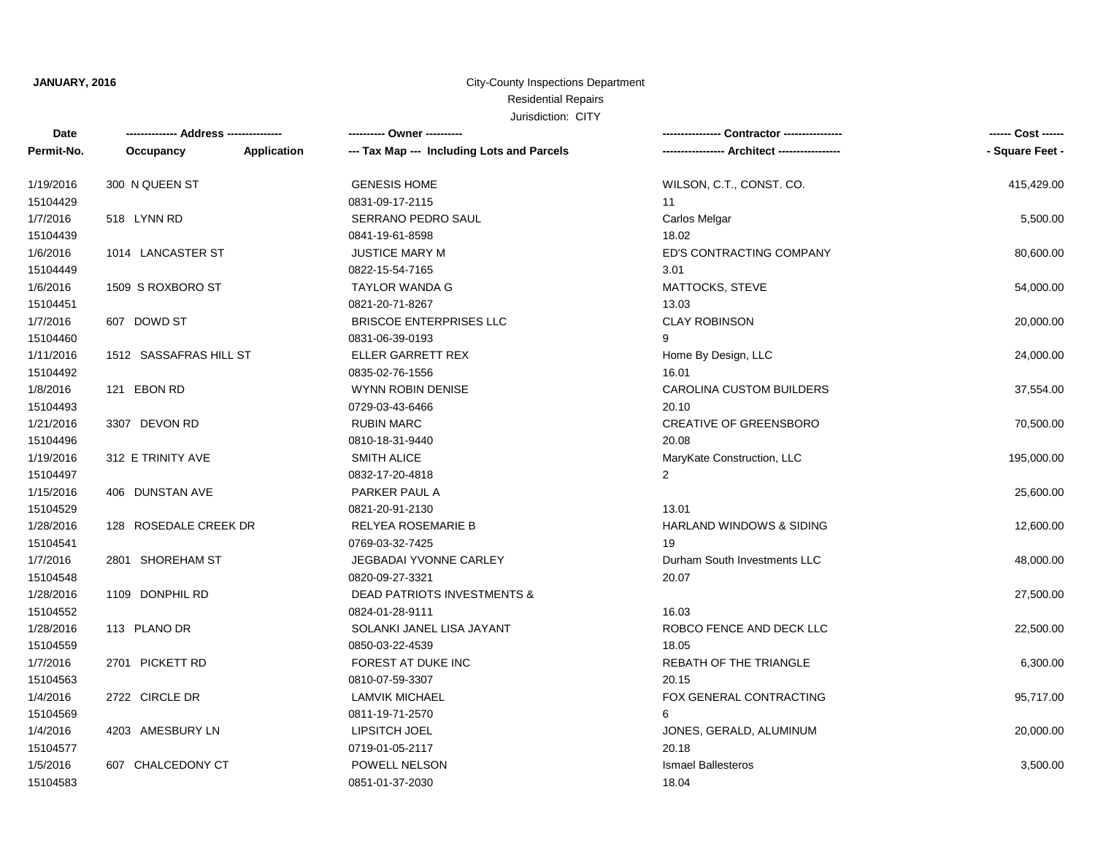# City-County Inspections Department Residential Repairs

| Date       |                        |                    | ---------- Owner ----------                |                                     | ------ Cost ------ |
|------------|------------------------|--------------------|--------------------------------------------|-------------------------------------|--------------------|
| Permit-No. | Occupancy              | <b>Application</b> | --- Tax Map --- Including Lots and Parcels |                                     | - Square Feet -    |
| 1/19/2016  | 300 N QUEEN ST         |                    | <b>GENESIS HOME</b>                        | WILSON, C.T., CONST. CO.            | 415,429.00         |
| 15104429   |                        |                    | 0831-09-17-2115                            | 11                                  |                    |
| 1/7/2016   | 518 LYNN RD            |                    | SERRANO PEDRO SAUL                         | Carlos Melgar                       | 5,500.00           |
| 15104439   |                        |                    | 0841-19-61-8598                            | 18.02                               |                    |
| 1/6/2016   | 1014 LANCASTER ST      |                    | <b>JUSTICE MARY M</b>                      | ED'S CONTRACTING COMPANY            | 80,600.00          |
| 15104449   |                        |                    | 0822-15-54-7165                            | 3.01                                |                    |
| 1/6/2016   | 1509 S ROXBORO ST      |                    | <b>TAYLOR WANDA G</b>                      | MATTOCKS, STEVE                     | 54,000.00          |
| 15104451   |                        |                    | 0821-20-71-8267                            | 13.03                               |                    |
| 1/7/2016   | 607 DOWD ST            |                    | <b>BRISCOE ENTERPRISES LLC</b>             | <b>CLAY ROBINSON</b>                | 20,000.00          |
| 15104460   |                        |                    | 0831-06-39-0193                            | 9                                   |                    |
| 1/11/2016  | 1512 SASSAFRAS HILL ST |                    | ELLER GARRETT REX                          | Home By Design, LLC                 | 24,000.00          |
| 15104492   |                        |                    | 0835-02-76-1556                            | 16.01                               |                    |
| 1/8/2016   | 121 EBON RD            |                    | <b>WYNN ROBIN DENISE</b>                   | <b>CAROLINA CUSTOM BUILDERS</b>     | 37,554.00          |
| 15104493   |                        |                    | 0729-03-43-6466                            | 20.10                               |                    |
| 1/21/2016  | 3307 DEVON RD          |                    | <b>RUBIN MARC</b>                          | CREATIVE OF GREENSBORO              | 70,500.00          |
| 15104496   |                        |                    | 0810-18-31-9440                            | 20.08                               |                    |
| 1/19/2016  | 312 E TRINITY AVE      |                    | <b>SMITH ALICE</b>                         | MaryKate Construction, LLC          | 195,000.00         |
| 15104497   |                        |                    | 0832-17-20-4818                            | $\overline{2}$                      |                    |
| 1/15/2016  | 406 DUNSTAN AVE        |                    | PARKER PAUL A                              |                                     | 25,600.00          |
| 15104529   |                        |                    | 0821-20-91-2130                            | 13.01                               |                    |
| 1/28/2016  | 128 ROSEDALE CREEK DR  |                    | RELYEA ROSEMARIE B                         | <b>HARLAND WINDOWS &amp; SIDING</b> | 12,600.00          |
| 15104541   |                        |                    | 0769-03-32-7425                            | 19                                  |                    |
| 1/7/2016   | 2801 SHOREHAM ST       |                    | <b>JEGBADAI YVONNE CARLEY</b>              | Durham South Investments LLC        | 48,000.00          |
| 15104548   |                        |                    | 0820-09-27-3321                            | 20.07                               |                    |
| 1/28/2016  | 1109 DONPHIL RD        |                    | DEAD PATRIOTS INVESTMENTS &                |                                     | 27,500.00          |
| 15104552   |                        |                    | 0824-01-28-9111                            | 16.03                               |                    |
| 1/28/2016  | 113 PLANO DR           |                    | SOLANKI JANEL LISA JAYANT                  | ROBCO FENCE AND DECK LLC            | 22,500.00          |
| 15104559   |                        |                    | 0850-03-22-4539                            | 18.05                               |                    |
| 1/7/2016   | 2701 PICKETT RD        |                    | FOREST AT DUKE INC                         | REBATH OF THE TRIANGLE              | 6,300.00           |
| 15104563   |                        |                    | 0810-07-59-3307                            | 20.15                               |                    |
| 1/4/2016   | 2722 CIRCLE DR         |                    | <b>LAMVIK MICHAEL</b>                      | FOX GENERAL CONTRACTING             | 95,717.00          |
| 15104569   |                        |                    | 0811-19-71-2570                            | 6                                   |                    |
| 1/4/2016   | 4203 AMESBURY LN       |                    | LIPSITCH JOEL                              | JONES, GERALD, ALUMINUM             | 20,000.00          |
| 15104577   |                        |                    | 0719-01-05-2117                            | 20.18                               |                    |
| 1/5/2016   | 607 CHALCEDONY CT      |                    | POWELL NELSON                              | <b>Ismael Ballesteros</b>           | 3,500.00           |
| 15104583   |                        |                    | 0851-01-37-2030                            | 18.04                               |                    |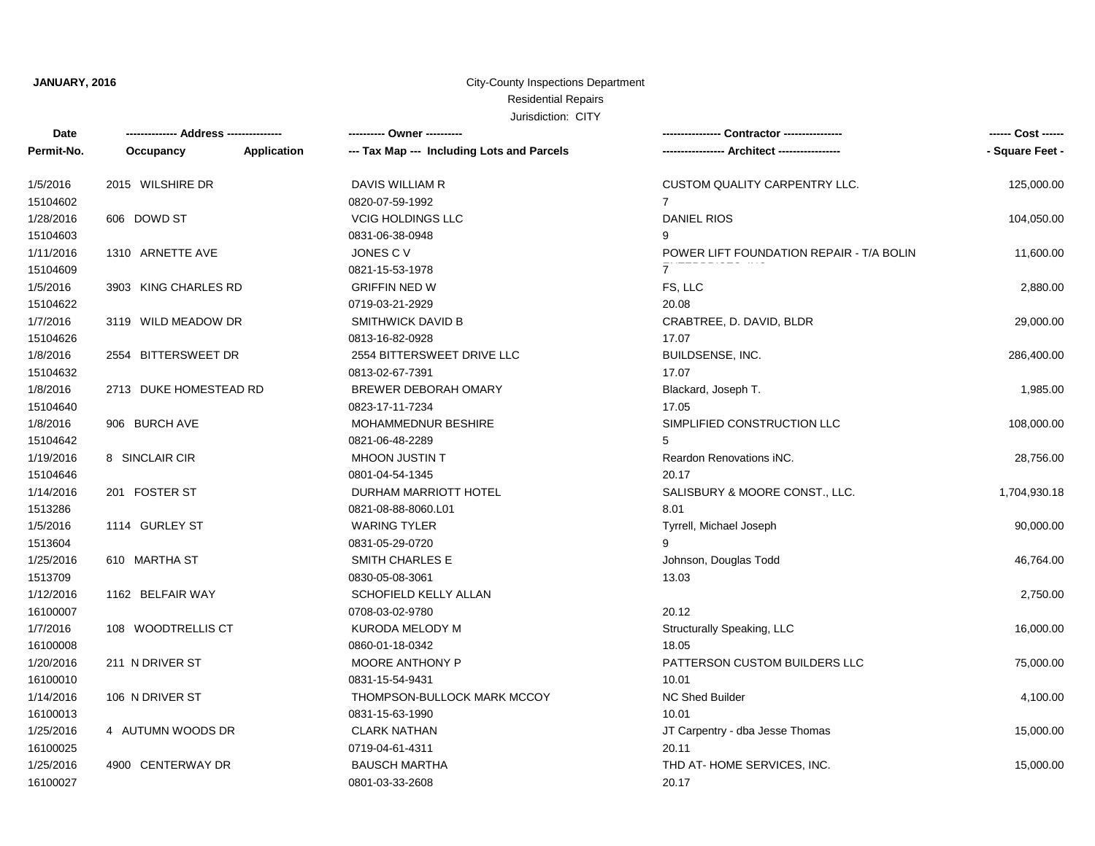## City-County Inspections Department Residential Repairs

| Date       |                        |             | ---------- Owner ----------                |                                          | ------ Cost ------ |
|------------|------------------------|-------------|--------------------------------------------|------------------------------------------|--------------------|
| Permit-No. | Occupancy              | Application | --- Tax Map --- Including Lots and Parcels |                                          | - Square Feet -    |
| 1/5/2016   | 2015 WILSHIRE DR       |             | DAVIS WILLIAM R                            | CUSTOM QUALITY CARPENTRY LLC.            | 125,000.00         |
| 15104602   |                        |             | 0820-07-59-1992                            | $7^{\circ}$                              |                    |
| 1/28/2016  | 606 DOWD ST            |             | <b>VCIG HOLDINGS LLC</b>                   | <b>DANIEL RIOS</b>                       | 104,050.00         |
| 15104603   |                        |             | 0831-06-38-0948                            | 9                                        |                    |
| 1/11/2016  | 1310 ARNETTE AVE       |             | JONES C V                                  | POWER LIFT FOUNDATION REPAIR - T/A BOLIN | 11,600.00          |
| 15104609   |                        |             | 0821-15-53-1978                            | $\mathbf{7}$                             |                    |
| 1/5/2016   | 3903 KING CHARLES RD   |             | <b>GRIFFIN NED W</b>                       | FS, LLC                                  | 2,880.00           |
| 15104622   |                        |             | 0719-03-21-2929                            | 20.08                                    |                    |
| 1/7/2016   | 3119 WILD MEADOW DR    |             | <b>SMITHWICK DAVID B</b>                   | CRABTREE, D. DAVID, BLDR                 | 29,000.00          |
| 15104626   |                        |             | 0813-16-82-0928                            | 17.07                                    |                    |
| 1/8/2016   | 2554 BITTERSWEET DR    |             | 2554 BITTERSWEET DRIVE LLC                 | BUILDSENSE, INC.                         | 286,400.00         |
| 15104632   |                        |             | 0813-02-67-7391                            | 17.07                                    |                    |
| 1/8/2016   | 2713 DUKE HOMESTEAD RD |             | BREWER DEBORAH OMARY                       | Blackard, Joseph T.                      | 1,985.00           |
| 15104640   |                        |             | 0823-17-11-7234                            | 17.05                                    |                    |
| 1/8/2016   | 906 BURCH AVE          |             | <b>MOHAMMEDNUR BESHIRE</b>                 | SIMPLIFIED CONSTRUCTION LLC              | 108,000.00         |
| 15104642   |                        |             | 0821-06-48-2289                            | 5                                        |                    |
| 1/19/2016  | 8 SINCLAIR CIR         |             | MHOON JUSTIN T                             | Reardon Renovations INC.                 | 28,756.00          |
| 15104646   |                        |             | 0801-04-54-1345                            | 20.17                                    |                    |
| 1/14/2016  | 201 FOSTER ST          |             | DURHAM MARRIOTT HOTEL                      | SALISBURY & MOORE CONST., LLC.           | 1,704,930.18       |
| 1513286    |                        |             | 0821-08-88-8060.L01                        | 8.01                                     |                    |
| 1/5/2016   | 1114 GURLEY ST         |             | <b>WARING TYLER</b>                        | Tyrrell, Michael Joseph                  | 90,000.00          |
| 1513604    |                        |             | 0831-05-29-0720                            |                                          |                    |
| 1/25/2016  | 610 MARTHA ST          |             | SMITH CHARLES E                            | Johnson, Douglas Todd                    | 46,764.00          |
| 1513709    |                        |             | 0830-05-08-3061                            | 13.03                                    |                    |
| 1/12/2016  | 1162 BELFAIR WAY       |             | SCHOFIELD KELLY ALLAN                      |                                          | 2,750.00           |
| 16100007   |                        |             | 0708-03-02-9780                            | 20.12                                    |                    |
| 1/7/2016   | 108 WOODTRELLIS CT     |             | KURODA MELODY M                            | Structurally Speaking, LLC               | 16,000.00          |
| 16100008   |                        |             | 0860-01-18-0342                            | 18.05                                    |                    |
| 1/20/2016  | 211 N DRIVER ST        |             | MOORE ANTHONY P                            | PATTERSON CUSTOM BUILDERS LLC            | 75,000.00          |
| 16100010   |                        |             | 0831-15-54-9431                            | 10.01                                    |                    |
| 1/14/2016  | 106 N DRIVER ST        |             | THOMPSON-BULLOCK MARK MCCOY                | <b>NC Shed Builder</b>                   | 4,100.00           |
| 16100013   |                        |             | 0831-15-63-1990                            | 10.01                                    |                    |
| 1/25/2016  | 4 AUTUMN WOODS DR      |             | <b>CLARK NATHAN</b>                        | JT Carpentry - dba Jesse Thomas          | 15,000.00          |
| 16100025   |                        |             | 0719-04-61-4311                            | 20.11                                    |                    |
| 1/25/2016  | 4900 CENTERWAY DR      |             | <b>BAUSCH MARTHA</b>                       | THD AT-HOME SERVICES, INC.               | 15,000.00          |
| 16100027   |                        |             | 0801-03-33-2608                            | 20.17                                    |                    |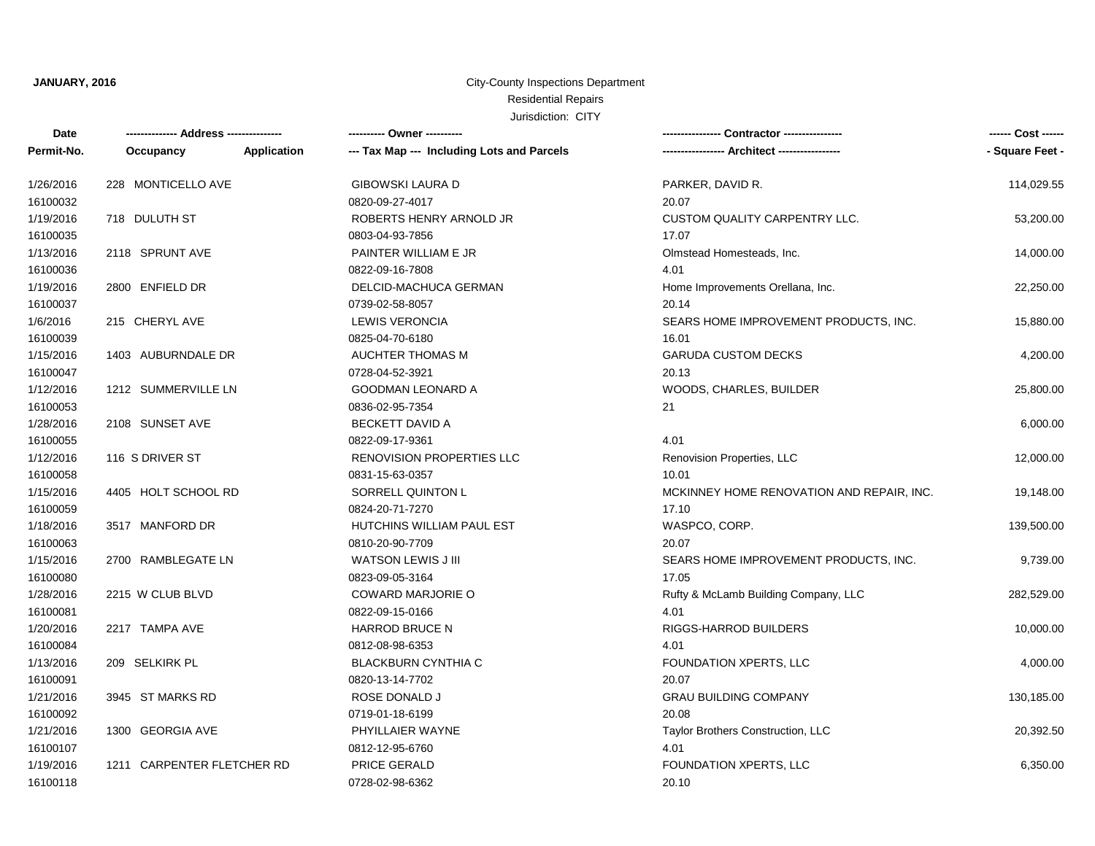### City-County Inspections Department Residential Repairs

| Date       |                            |             | ---------- Owner ----------                |                                           | ------ Cost ------ |
|------------|----------------------------|-------------|--------------------------------------------|-------------------------------------------|--------------------|
| Permit-No. | Occupancy                  | Application | --- Tax Map --- Including Lots and Parcels |                                           | - Square Feet -    |
| 1/26/2016  | 228 MONTICELLO AVE         |             | <b>GIBOWSKI LAURA D</b>                    | PARKER, DAVID R.                          | 114,029.55         |
| 16100032   |                            |             | 0820-09-27-4017                            | 20.07                                     |                    |
| 1/19/2016  | 718 DULUTH ST              |             | ROBERTS HENRY ARNOLD JR                    | <b>CUSTOM QUALITY CARPENTRY LLC.</b>      | 53,200.00          |
| 16100035   |                            |             | 0803-04-93-7856                            | 17.07                                     |                    |
| 1/13/2016  | 2118 SPRUNT AVE            |             | PAINTER WILLIAM E JR                       | Olmstead Homesteads, Inc.                 | 14,000.00          |
| 16100036   |                            |             | 0822-09-16-7808                            | 4.01                                      |                    |
| 1/19/2016  | 2800 ENFIELD DR            |             | DELCID-MACHUCA GERMAN                      | Home Improvements Orellana, Inc.          | 22,250.00          |
| 16100037   |                            |             | 0739-02-58-8057                            | 20.14                                     |                    |
| 1/6/2016   | 215 CHERYL AVE             |             | <b>LEWIS VERONCIA</b>                      | SEARS HOME IMPROVEMENT PRODUCTS, INC.     | 15,880.00          |
| 16100039   |                            |             | 0825-04-70-6180                            | 16.01                                     |                    |
| 1/15/2016  | 1403 AUBURNDALE DR         |             | <b>AUCHTER THOMAS M</b>                    | <b>GARUDA CUSTOM DECKS</b>                | 4,200.00           |
| 16100047   |                            |             | 0728-04-52-3921                            | 20.13                                     |                    |
| 1/12/2016  | 1212 SUMMERVILLE LN        |             | <b>GOODMAN LEONARD A</b>                   | WOODS, CHARLES, BUILDER                   | 25,800.00          |
| 16100053   |                            |             | 0836-02-95-7354                            | 21                                        |                    |
| 1/28/2016  | 2108 SUNSET AVE            |             | <b>BECKETT DAVID A</b>                     |                                           | 6,000.00           |
| 16100055   |                            |             | 0822-09-17-9361                            | 4.01                                      |                    |
| 1/12/2016  | 116 S DRIVER ST            |             | <b>RENOVISION PROPERTIES LLC</b>           | Renovision Properties, LLC                | 12,000.00          |
| 16100058   |                            |             | 0831-15-63-0357                            | 10.01                                     |                    |
| 1/15/2016  | 4405 HOLT SCHOOL RD        |             | SORRELL QUINTON L                          | MCKINNEY HOME RENOVATION AND REPAIR, INC. | 19,148.00          |
| 16100059   |                            |             | 0824-20-71-7270                            | 17.10                                     |                    |
| 1/18/2016  | 3517 MANFORD DR            |             | HUTCHINS WILLIAM PAUL EST                  | WASPCO, CORP.                             | 139,500.00         |
| 16100063   |                            |             | 0810-20-90-7709                            | 20.07                                     |                    |
| 1/15/2016  | 2700 RAMBLEGATE LN         |             | WATSON LEWIS J III                         | SEARS HOME IMPROVEMENT PRODUCTS, INC.     | 9,739.00           |
| 16100080   |                            |             | 0823-09-05-3164                            | 17.05                                     |                    |
| 1/28/2016  | 2215 W CLUB BLVD           |             | COWARD MARJORIE O                          | Rufty & McLamb Building Company, LLC      | 282,529.00         |
| 16100081   |                            |             | 0822-09-15-0166                            | 4.01                                      |                    |
| 1/20/2016  | 2217 TAMPA AVE             |             | <b>HARROD BRUCE N</b>                      | RIGGS-HARROD BUILDERS                     | 10,000.00          |
| 16100084   |                            |             | 0812-08-98-6353                            | 4.01                                      |                    |
| 1/13/2016  | 209 SELKIRK PL             |             | <b>BLACKBURN CYNTHIA C</b>                 | FOUNDATION XPERTS, LLC                    | 4,000.00           |
| 16100091   |                            |             | 0820-13-14-7702                            | 20.07                                     |                    |
| 1/21/2016  | 3945 ST MARKS RD           |             | ROSE DONALD J                              | <b>GRAU BUILDING COMPANY</b>              | 130,185.00         |
| 16100092   |                            |             | 0719-01-18-6199                            | 20.08                                     |                    |
| 1/21/2016  | 1300 GEORGIA AVE           |             | PHYILLAIER WAYNE                           | Taylor Brothers Construction, LLC         | 20,392.50          |
| 16100107   |                            |             | 0812-12-95-6760                            | 4.01                                      |                    |
| 1/19/2016  | 1211 CARPENTER FLETCHER RD |             | <b>PRICE GERALD</b>                        | FOUNDATION XPERTS, LLC                    | 6,350.00           |
| 16100118   |                            |             | 0728-02-98-6362                            | 20.10                                     |                    |